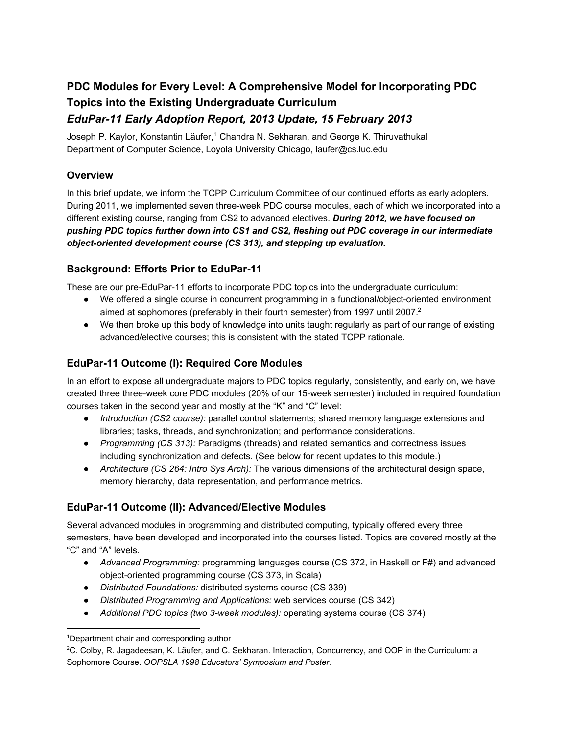# **PDC Modules for Every Level: A Comprehensive Model for Incorporating PDC Topics into the Existing Undergraduate Curriculum** *EduPar11 Early Adoption Report, 2013 Update, 15 February 2013*

Joseph P. Kaylor, Konstantin Läufer,<sup>1</sup> Chandra N. Sekharan, and George K. Thiruvathukal Department of Computer Science, Loyola University Chicago, laufer@cs.luc.edu

# **Overview**

In this brief update, we inform the TCPP Curriculum Committee of our continued efforts as early adopters. During 2011, we implemented seven three-week PDC course modules, each of which we incorporated into a different existing course, ranging from CS2 to advanced electives. *During 2012, we have focused on pushing PDC topics further down into CS1 and CS2, fleshing out PDC coverage in our intermediate object-oriented development course (CS 313), and stepping up evaluation.* 

## **Background: Efforts Prior to EduPar11**

These are our pre-EduPar-11 efforts to incorporate PDC topics into the undergraduate curriculum:

- We offered a single course in concurrent programming in a functional/object-oriented environment aimed at sophomores (preferably in their fourth semester) from 1997 until 2007.<sup>2</sup>
- We then broke up this body of knowledge into units taught regularly as part of our range of existing advanced/elective courses; this is consistent with the stated TCPP rationale.

# **EduPar11 Outcome (I): Required Core Modules**

In an effort to expose all undergraduate majors to PDC topics regularly, consistently, and early on, we have created three three-week core PDC modules (20% of our 15-week semester) included in required foundation courses taken in the second year and mostly at the "K" and "C" level:

- *Introduction (CS2 course):* parallel control statements; shared memory language extensions and libraries; tasks, threads, and synchronization; and performance considerations.
- *Programming (CS 313):* Paradigms (threads) and related semantics and correctness issues including synchronization and defects. (See below for recent updates to this module.)
- *Architecture (CS 264: Intro Sys Arch):* The various dimensions of the architectural design space, memory hierarchy, data representation, and performance metrics.

## **EduPar11 Outcome (II): Advanced/Elective Modules**

Several advanced modules in programming and distributed computing, typically offered every three semesters, have been developed and incorporated into the courses listed. Topics are covered mostly at the "C" and "A" levels.

- *Advanced Programming:* programming languages course (CS 372, in Haskell or F#) and advanced object-oriented programming course (CS 373, in Scala)
- *Distributed Foundations:* distributed systems course (CS 339)
- *Distributed Programming and Applications:* web services course (CS 342)
- *Additional PDC topics (two 3week modules):* operating systems course (CS 374)

<sup>1</sup>Department chair and corresponding author

<sup>2</sup>C. Colby, R. Jagadeesan, K. Läufer, and C. Sekharan. Interaction, Concurrency, and OOP in the Curriculum: a Sophomore Course. *OOPSLA 1998 Educators' Symposium and Poster.*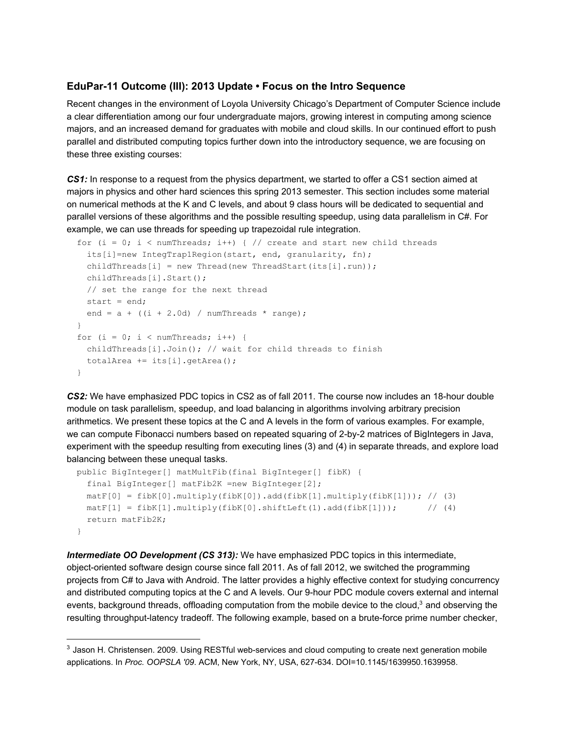#### **EduPar11 Outcome (III): 2013 Update • Focus on the Intro Sequence**

Recent changes in the environment of Loyola University Chicago's Department of Computer Science include a clear differentiation among our four undergraduate majors, growing interest in computing among science majors, and an increased demand for graduates with mobile and cloud skills. In our continued effort to push parallel and distributed computing topics further down into the introductory sequence, we are focusing on these three existing courses:

**CS1:** In response to a request from the physics department, we started to offer a CS1 section aimed at majors in physics and other hard sciences this spring 2013 semester. This section includes some material on numerical methods at the K and C levels, and about 9 class hours will be dedicated to sequential and parallel versions of these algorithms and the possible resulting speedup, using data parallelism in C#. For example, we can use threads for speeding up trapezoidal rule integration.

```
for (i = 0; i < numThreads; i++) { // create and start new child threads
  its[i]=new IntegTrap1Region(start, end, granularity, fn);
 childThreads[i] = new Thread(new ThreadStart(its[i].run));
 childThreads[i].Start();
 // set the range for the next thread
 start = end;end = a + ((i + 2.0d) / numThreads * range);}
for (i = 0; i < numThreads; i++) {
 childThreads[i].Join(); // wait for child threads to finish
 totalArea += its[i].getArea();
}
```
**CS2:** We have emphasized PDC topics in CS2 as of fall 2011. The course now includes an 18-hour double module on task parallelism, speedup, and load balancing in algorithms involving arbitrary precision arithmetics. We present these topics at the C and A levels in the form of various examples. For example, we can compute Fibonacci numbers based on repeated squaring of 2-by-2 matrices of BigIntegers in Java, experiment with the speedup resulting from executing lines (3) and (4) in separate threads, and explore load balancing between these unequal tasks.

```
public BigInteger[] matMultFib(final BigInteger[] fibK) {
  final BigInteger[] matFib2K =new BigInteger[2];
  matF[0] = fibK[0].multiply(fibK[0]).add(fibK[1].multiply(fibK[1])); // (3)
  \text{matF}[1] = \text{fibK}[1] \cdot \text{multiply(fibK}[0] \cdot \text{shiftLeft}(1) \cdot \text{add(fibK}[1])); //(4)
  return matFib2K;
}
```
*Intermediate OO Development (CS 313):* We have emphasized PDC topics in this intermediate, object-oriented software design course since fall 2011. As of fall 2012, we switched the programming projects from C# to Java with Android. The latter provides a highly effective context for studying concurrency and distributed computing topics at the C and A levels. Our 9-hour PDC module covers external and internal events, background threads, offloading computation from the mobile device to the cloud,<sup>3</sup> and observing the resulting throughput-latency tradeoff. The following example, based on a brute-force prime number checker,

 $3$  Jason H. Christensen. 2009. Using RESTful web-services and cloud computing to create next generation mobile applications. In *Proc. OOPSLA '09*. ACM, New York, NY, USA, 627634. DOI=10.1145/1639950.1639958.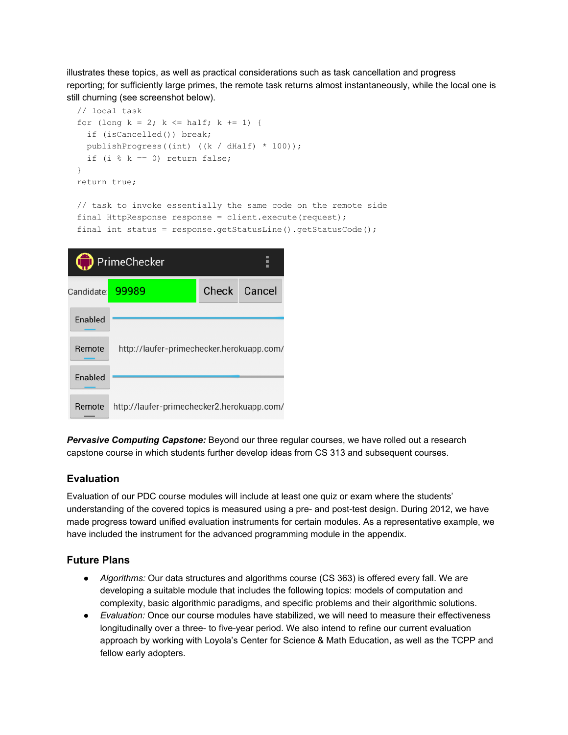illustrates these topics, as well as practical considerations such as task cancellation and progress reporting; for sufficiently large primes, the remote task returns almost instantaneously, while the local one is still churning (see screenshot below).

```
// local task
for (long k = 2; k \leq half; k += 1) {
 if (isCancelled()) break;
 publishProgress((int) ((k / dHalf) * 100));
 if (i k == 0) return false;
}
return true;
// task to invoke essentially the same code on the remote side
final HttpResponse response = client.execute(request);
final int status = response.getStatusLine().getStatusCode();
\sim
```

| PrimeChecker              |                                            |       |        |
|---------------------------|--------------------------------------------|-------|--------|
| Candidate: <mark>l</mark> | 99989                                      | Check | Cancel |
| <b>Enabled</b>            |                                            |       |        |
| Remote                    | http://laufer-primechecker.herokuapp.com/  |       |        |
| Enabled                   |                                            |       |        |
| Remote                    | http://laufer-primechecker2.herokuapp.com/ |       |        |

*Pervasive Computing Capstone:* Beyond our three regular courses, we have rolled out a research capstone course in which students further develop ideas from CS 313 and subsequent courses.

#### **Evaluation**

Evaluation of our PDC course modules will include at least one quiz or exam where the students' understanding of the covered topics is measured using a pre- and post-test design. During 2012, we have made progress toward unified evaluation instruments for certain modules. As a representative example, we have included the instrument for the advanced programming module in the appendix.

#### **Future Plans**

- *Algorithms:* Our data structures and algorithms course (CS 363) is offered every fall. We are developing a suitable module that includes the following topics: models of computation and complexity, basic algorithmic paradigms, and specific problems and their algorithmic solutions.
- *Evaluation:* Once our course modules have stabilized, we will need to measure their effectiveness longitudinally over a three- to five-year period. We also intend to refine our current evaluation approach by working with Loyola's Center for Science & Math Education, as well as the TCPP and fellow early adopters.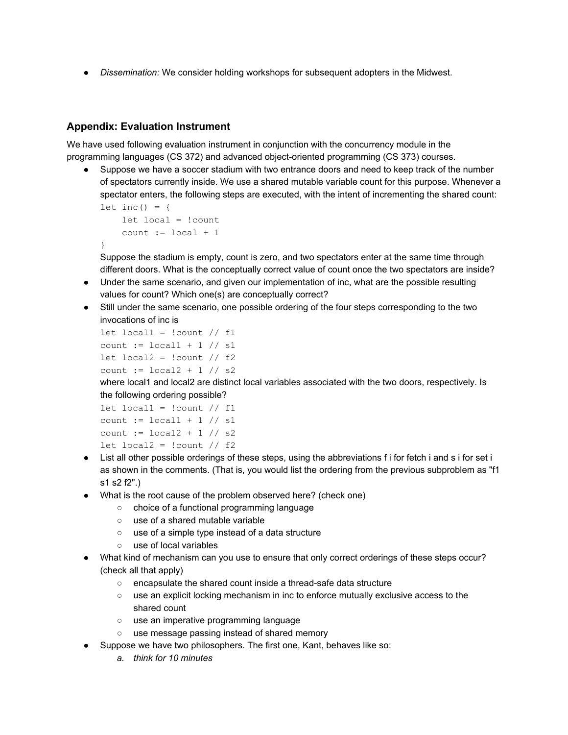● *Dissemination:* We consider holding workshops for subsequent adopters in the Midwest.

#### **Appendix: Evaluation Instrument**

We have used following evaluation instrument in conjunction with the concurrency module in the programming languages (CS 372) and advanced object-oriented programming (CS 373) courses.

Suppose we have a soccer stadium with two entrance doors and need to keep track of the number of spectators currently inside. We use a shared mutable variable count for this purpose. Whenever a spectator enters, the following steps are executed, with the intent of incrementing the shared count: let inc() = {

```
let local = !count
   count := local + 1}
```
Suppose the stadium is empty, count is zero, and two spectators enter at the same time through different doors. What is the conceptually correct value of count once the two spectators are inside?

- Under the same scenario, and given our implementation of inc, what are the possible resulting values for count? Which one(s) are conceptually correct?
- Still under the same scenario, one possible ordering of the four steps corresponding to the two invocations of inc is

```
let local1 = !count / f1count := local1 + 1 // s1let local2 = !count / f2count := local2 + 1 // s2
```
where local1 and local2 are distinct local variables associated with the two doors, respectively. Is the following ordering possible?

```
let local1 = !count / f1count := local1 + 1 // s1
count := local2 + 1 // s2
let local2 = !count / f2
```
- List all other possible orderings of these steps, using the abbreviations f i for fetch i and s i for set i as shown in the comments. (That is, you would list the ordering from the previous subproblem as "f1 s1 s2 f2".)
- What is the root cause of the problem observed here? (check one)
	- choice of a functional programming language
	- use of a shared mutable variable
	- use of a simple type instead of a data structure
	- use of local variables
- What kind of mechanism can you use to ensure that only correct orderings of these steps occur? (check all that apply)
	- encapsulate the shared count inside a thread-safe data structure
	- use an explicit locking mechanism in inc to enforce mutually exclusive access to the shared count
	- use an imperative programming language
	- use message passing instead of shared memory
- Suppose we have two philosophers. The first one, Kant, behaves like so:
	- *a. think for 10 minutes*